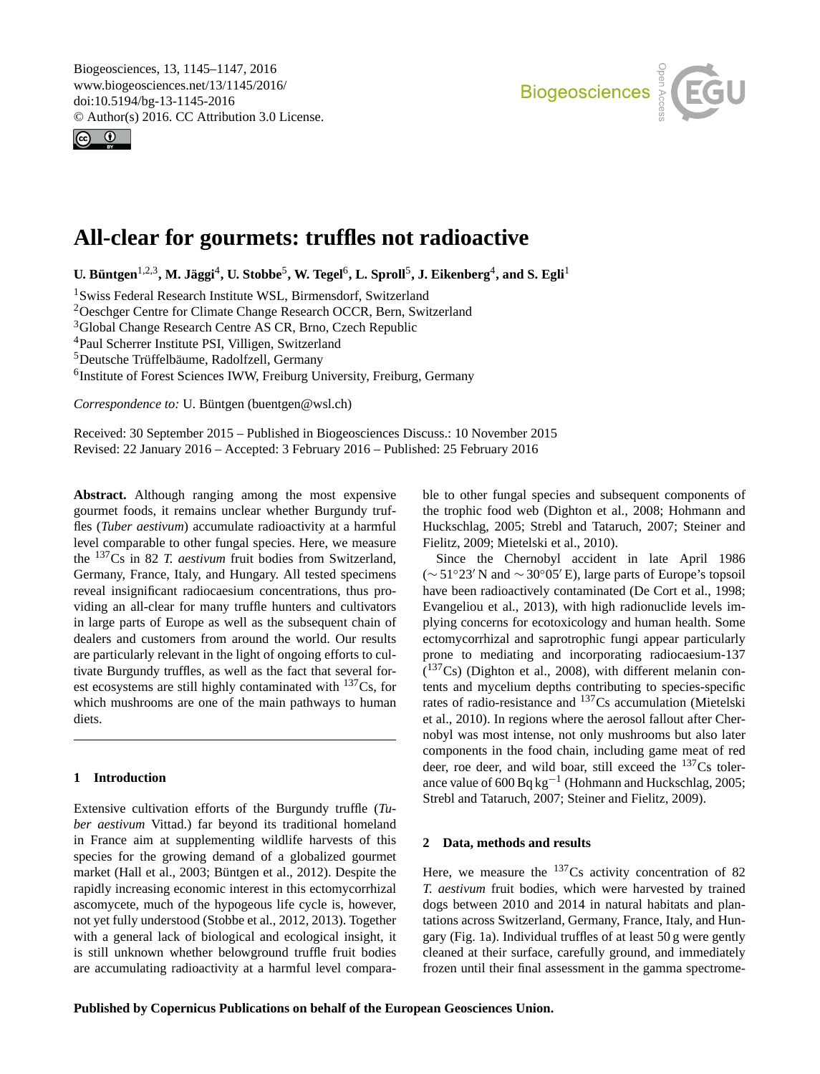<span id="page-0-1"></span>Biogeosciences, 13, 1145–1147, 2016 www.biogeosciences.net/13/1145/2016/ doi:10.5194/bg-13-1145-2016 © Author(s) 2016. CC Attribution 3.0 License.





# **All-clear for gourmets: truffles not radioactive**

 $U$ **.** Büntgen<sup>[1,2,3](#page-0-0)</sup>, M. Jäggi<sup>[4](#page-0-0)</sup>, U. Stobbe<sup>[5](#page-0-0)</sup>, W. Tegel<sup>[6](#page-0-0)</sup>, L. Sproll<sup>5</sup>, J. Eikenberg<sup>4</sup>, and S. Egli<sup>[1](#page-0-0)</sup>

<sup>1</sup>Swiss Federal Research Institute WSL, Birmensdorf, Switzerland

<sup>2</sup>Oeschger Centre for Climate Change Research OCCR, Bern, Switzerland

<sup>3</sup>Global Change Research Centre AS CR, Brno, Czech Republic

<sup>4</sup>Paul Scherrer Institute PSI, Villigen, Switzerland

<sup>5</sup>Deutsche Trüffelbäume, Radolfzell, Germany

<sup>6</sup>Institute of Forest Sciences IWW, Freiburg University, Freiburg, Germany

*Correspondence to:* U. Büntgen (buentgen@wsl.ch)

Received: 30 September 2015 – Published in Biogeosciences Discuss.: 10 November 2015 Revised: 22 January 2016 – Accepted: 3 February 2016 – Published: 25 February 2016

<span id="page-0-0"></span>**Abstract.** Although ranging among the most expensive gourmet foods, it remains unclear whether Burgundy truffles (*Tuber aestivum*) accumulate radioactivity at a harmful level comparable to other fungal species. Here, we measure the <sup>137</sup>Cs in 82 *T. aestivum* fruit bodies from Switzerland, Germany, France, Italy, and Hungary. All tested specimens reveal insignificant radiocaesium concentrations, thus providing an all-clear for many truffle hunters and cultivators in large parts of Europe as well as the subsequent chain of dealers and customers from around the world. Our results are particularly relevant in the light of ongoing efforts to cultivate Burgundy truffles, as well as the fact that several forest ecosystems are still highly contaminated with  $137Cs$ , for which mushrooms are one of the main pathways to human diets.

## **1 Introduction**

Extensive cultivation efforts of the Burgundy truffle (*Tuber aestivum* Vittad.) far beyond its traditional homeland in France aim at supplementing wildlife harvests of this species for the growing demand of a globalized gourmet market (Hall et al., 2003; Büntgen et al., 2012). Despite the rapidly increasing economic interest in this ectomycorrhizal ascomycete, much of the hypogeous life cycle is, however, not yet fully understood (Stobbe et al., 2012, 2013). Together with a general lack of biological and ecological insight, it is still unknown whether belowground truffle fruit bodies are accumulating radioactivity at a harmful level comparable to other fungal species and subsequent components of the trophic food web (Dighton et al., 2008; Hohmann and Huckschlag, 2005; Strebl and Tataruch, 2007; Steiner and Fielitz, 2009; Mietelski et al., 2010).

Since the Chernobyl accident in late April 1986  $({\sim}51°23' N$  and  ${\sim}30°05' E$ ), large parts of Europe's topsoil have been radioactively contaminated (De Cort et al., 1998; Evangeliou et al., 2013), with high radionuclide levels implying concerns for ecotoxicology and human health. Some ectomycorrhizal and saprotrophic fungi appear particularly prone to mediating and incorporating radiocaesium-137  $(137Cs)$  (Dighton et al., 2008), with different melanin contents and mycelium depths contributing to species-specific rates of radio-resistance and <sup>137</sup>Cs accumulation (Mietelski et al., 2010). In regions where the aerosol fallout after Chernobyl was most intense, not only mushrooms but also later components in the food chain, including game meat of red deer, roe deer, and wild boar, still exceed the  $137Cs$  tolerance value of 600 Bq kg−<sup>1</sup> (Hohmann and Huckschlag, 2005; Strebl and Tataruch, 2007; Steiner and Fielitz, 2009).

## **2 Data, methods and results**

Here, we measure the  $137Cs$  activity concentration of 82 *T. aestivum* fruit bodies, which were harvested by trained dogs between 2010 and 2014 in natural habitats and plantations across Switzerland, Germany, France, Italy, and Hungary (Fig. 1a). Individual truffles of at least 50 g were gently cleaned at their surface, carefully ground, and immediately frozen until their final assessment in the gamma spectrome-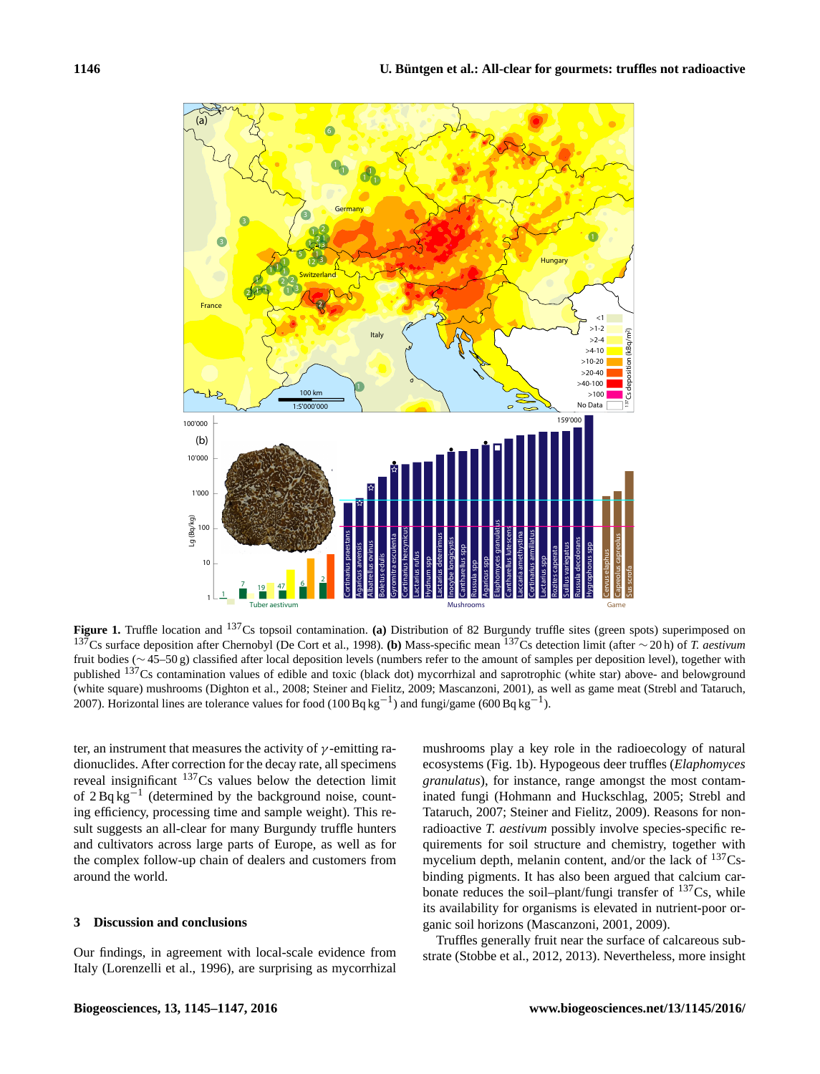

**Figure 1.** Truffle location and <sup>137</sup>Cs topsoil contamination. **(a)** Distribution of 82 Burgundy truffle sites (green spots) superimposed on <sup>137</sup>Cs surface deposition after Chernobyl (De Cort et al., 1998). **(b)** Mass-specific mean <sup>137</sup>Cs detection limit (after ∼ 20 h) of *T. aestivum* fruit bodies (∼ 45–50 g) classified after local deposition levels (numbers refer to the amount of samples per deposition level), together with published <sup>137</sup>Cs contamination values of edible and toxic (black dot) mycorrhizal and saprotrophic (white star) above- and belowground (white square) mushrooms (Dighton et al., 2008; Steiner and Fielitz, 2009; Mascanzoni, 2001), as well as game meat (Strebl and Tataruch, 2007). Horizontal lines are tolerance values for food (100 Bq kg<sup>-1</sup>) and fungi/game (600 Bq kg<sup>-1</sup>).

ter, an instrument that measures the activity of  $\gamma$ -emitting radionuclides. After correction for the decay rate, all specimens reveal insignificant <sup>137</sup>Cs values below the detection limit of  $2 \text{Bq kg}^{-1}$  (determined by the background noise, counting efficiency, processing time and sample weight). This result suggests an all-clear for many Burgundy truffle hunters and cultivators across large parts of Europe, as well as for the complex follow-up chain of dealers and customers from around the world.

### **3 Discussion and conclusions**

Our findings, in agreement with local-scale evidence from Italy (Lorenzelli et al., 1996), are surprising as mycorrhizal mushrooms play a key role in the radioecology of natural ecosystems (Fig. 1b). Hypogeous deer truffles (*Elaphomyces granulatus*), for instance, range amongst the most contaminated fungi (Hohmann and Huckschlag, 2005; Strebl and Tataruch, 2007; Steiner and Fielitz, 2009). Reasons for nonradioactive *T. aestivum* possibly involve species-specific requirements for soil structure and chemistry, together with mycelium depth, melanin content, and/or the lack of  $^{137}Cs$ binding pigments. It has also been argued that calcium carbonate reduces the soil–plant/fungi transfer of  $^{137}Cs$ , while its availability for organisms is elevated in nutrient-poor organic soil horizons (Mascanzoni, 2001, 2009).

Truffles generally fruit near the surface of calcareous substrate (Stobbe et al., 2012, 2013). Nevertheless, more insight